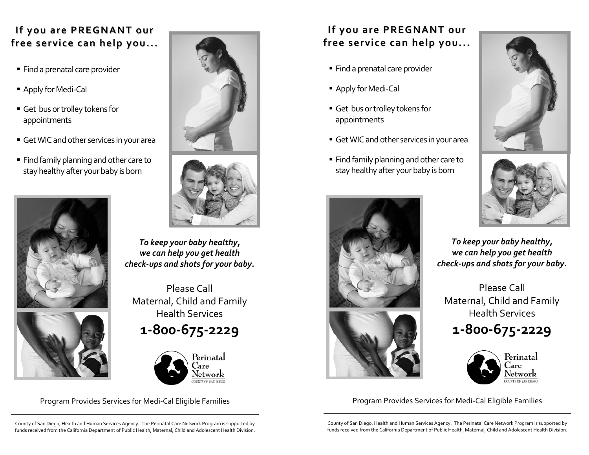## **If you are PREGNANT our free service can help you...**

- $\hspace{0.1mm}{}^{\bullet}$  Find a prenatal care provider
- Apply for Medi-Cal
- $\;\blacksquare\;$  Get bus or trolley tokens for appointments
- GetWICand other services in your area
- $\textcolor{red}{\bullet}$  Find family planning and other care to stay healthy after your baby is born









*To keep your baby healthy, we can help you ge<sup>t</sup> health check‐ups and shots for your baby.*

Please Call Maternal, Child and Family Health Services

**<sup>1</sup>‐800‐675‐2229**



## **If you are PREGNANT our free service can help you...**

- Find <sup>a</sup> prenatal care provider
- Apply for Medi-Cal
- Get busortrolley tokens for appointments
- GetWICand other services in your area
- $\;\blacksquare\;$  Find family planning and other care to stay healthy after your baby is born







*To keep your baby healthy, we can help you ge<sup>t</sup> health check‐ups and shots for your baby.*

Please Call Maternal, Child and Family Health Services **<sup>1</sup>‐800‐675‐2229**



Program Provides Services for Medi‐Cal Eligible Families Program Provides Services for Medi‐Cal Eligible Families

County of San Diego, Health and Human Services Agency. The Perinatal Care Network Program is supported by funds received from the California Department of Public Health, Maternal, Child and Adolescent Health Division.